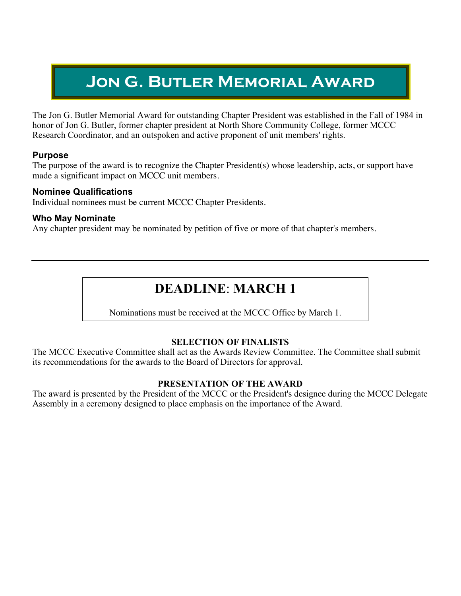# **Jon G. Butler Memorial Award**

The Jon G. Butler Memorial Award for outstanding Chapter President was established in the Fall of 1984 in honor of Jon G. Butler, former chapter president at North Shore Community College, former MCCC Research Coordinator, and an outspoken and active proponent of unit members' rights.

# **Purpose**

The purpose of the award is to recognize the Chapter President(s) whose leadership, acts, or support have made a significant impact on MCCC unit members.

# **Nominee Qualifications**

Individual nominees must be current MCCC Chapter Presidents.

# **Who May Nominate**

Any chapter president may be nominated by petition of five or more of that chapter's members.

# **DEADLINE**: **MARCH 1**

Nominations must be received at the MCCC Office by March 1.

# **SELECTION OF FINALISTS**

The MCCC Executive Committee shall act as the Awards Review Committee. The Committee shall submit its recommendations for the awards to the Board of Directors for approval.

#### **PRESENTATION OF THE AWARD**

The award is presented by the President of the MCCC or the President's designee during the MCCC Delegate Assembly in a ceremony designed to place emphasis on the importance of the Award.